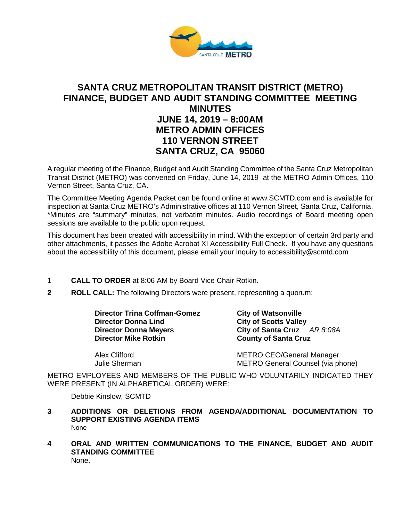

# **SANTA CRUZ METROPOLITAN TRANSIT DISTRICT (METRO) FINANCE, BUDGET AND AUDIT STANDING COMMITTEE MEETING MINUTES JUNE 14, 2019 – 8:00AM METRO ADMIN OFFICES 110 VERNON STREET SANTA CRUZ, CA 95060**

A regular meeting of the Finance, Budget and Audit Standing Committee of the Santa Cruz Metropolitan Transit District (METRO) was convened on Friday, June 14, 2019 at the METRO Admin Offices, 110 Vernon Street, Santa Cruz, CA.

The Committee Meeting Agenda Packet can be found online at www.SCMTD.com and is available for inspection at Santa Cruz METRO's Administrative offices at 110 Vernon Street, Santa Cruz, California. \*Minutes are "summary" minutes, not verbatim minutes. Audio recordings of Board meeting open sessions are available to the public upon request.

This document has been created with accessibility in mind. With the exception of certain 3rd party and other attachments, it passes the Adobe Acrobat XI Accessibility Full Check. If you have any questions about the accessibility of this document, please email your inquiry to accessibility@scmtd.com

- 1 **CALL TO ORDER** at 8:06 AM by Board Vice Chair Rotkin.
- **2 ROLL CALL:** The following Directors were present, representing a quorum:

**Director Trina Coffman-Gomez City of Watsonville Director Donna Lind City of Scotts Valley<br>
Director Donna Meyers City of Santa Cruz** 

**Director Donna Meyers City of Santa Cruz** *AR 8:08A*<br> **Director Mike Rotkin** County of Santa Cruz **County of Santa Cruz** 

Alex Clifford<br>
METRO CEO/General Manager<br>
METRO General Counsel (via p METRO General Counsel (via phone)

METRO EMPLOYEES AND MEMBERS OF THE PUBLIC WHO VOLUNTARILY INDICATED THEY WERE PRESENT (IN ALPHABETICAL ORDER) WERE:

Debbie Kinslow, SCMTD

- **3 ADDITIONS OR DELETIONS FROM AGENDA/ADDITIONAL DOCUMENTATION TO SUPPORT EXISTING AGENDA ITEMS**  None
- **4 ORAL AND WRITTEN COMMUNICATIONS TO THE FINANCE, BUDGET AND AUDIT STANDING COMMITTEE** None.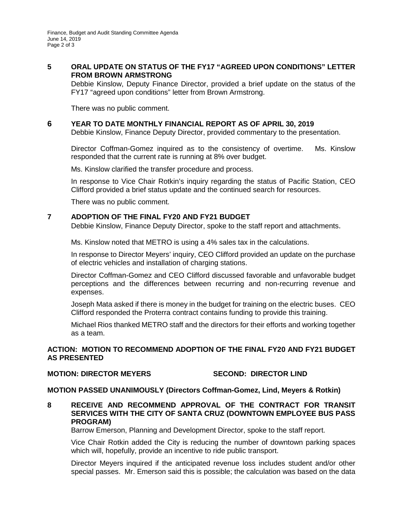# **5 ORAL UPDATE ON STATUS OF THE FY17 "AGREED UPON CONDITIONS" LETTER FROM BROWN ARMSTRONG**

Debbie Kinslow, Deputy Finance Director, provided a brief update on the status of the FY17 "agreed upon conditions" letter from Brown Armstrong.

There was no public comment.

### **6 YEAR TO DATE MONTHLY FINANCIAL REPORT AS OF APRIL 30, 2019**

Debbie Kinslow, Finance Deputy Director, provided commentary to the presentation.

Director Coffman-Gomez inquired as to the consistency of overtime. Ms. Kinslow responded that the current rate is running at 8% over budget.

Ms. Kinslow clarified the transfer procedure and process.

In response to Vice Chair Rotkin's inquiry regarding the status of Pacific Station, CEO Clifford provided a brief status update and the continued search for resources.

There was no public comment.

### **7 ADOPTION OF THE FINAL FY20 AND FY21 BUDGET**

Debbie Kinslow, Finance Deputy Director, spoke to the staff report and attachments.

Ms. Kinslow noted that METRO is using a 4% sales tax in the calculations.

In response to Director Meyers' inquiry, CEO Clifford provided an update on the purchase of electric vehicles and installation of charging stations.

Director Coffman-Gomez and CEO Clifford discussed favorable and unfavorable budget perceptions and the differences between recurring and non-recurring revenue and expenses.

Joseph Mata asked if there is money in the budget for training on the electric buses. CEO Clifford responded the Proterra contract contains funding to provide this training.

Michael Rios thanked METRO staff and the directors for their efforts and working together as a team.

# **ACTION: MOTION TO RECOMMEND ADOPTION OF THE FINAL FY20 AND FY21 BUDGET AS PRESENTED**

### **MOTION: DIRECTOR MEYERS SECOND: DIRECTOR LIND**

### **MOTION PASSED UNANIMOUSLY (Directors Coffman-Gomez, Lind, Meyers & Rotkin)**

**8 RECEIVE AND RECOMMEND APPROVAL OF THE CONTRACT FOR TRANSIT SERVICES WITH THE CITY OF SANTA CRUZ (DOWNTOWN EMPLOYEE BUS PASS PROGRAM)** 

Barrow Emerson, Planning and Development Director, spoke to the staff report.

Vice Chair Rotkin added the City is reducing the number of downtown parking spaces which will, hopefully, provide an incentive to ride public transport.

Director Meyers inquired if the anticipated revenue loss includes student and/or other special passes. Mr. Emerson said this is possible; the calculation was based on the data